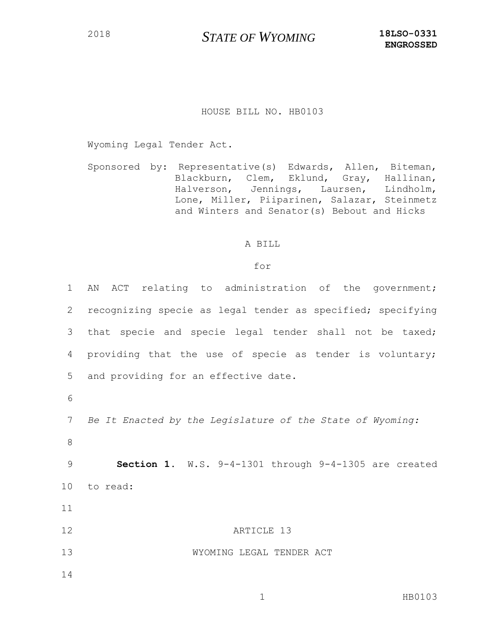## HOUSE BILL NO. HB0103

Wyoming Legal Tender Act.

Sponsored by: Representative(s) Edwards, Allen, Biteman, Blackburn, Clem, Eklund, Gray, Hallinan, Halverson, Jennings, Laursen, Lindholm, Lone, Miller, Piiparinen, Salazar, Steinmetz and Winters and Senator(s) Bebout and Hicks

## A BILL

## for

| $\mathbf 1$ | ACT relating to administration of the government;<br>AN     |
|-------------|-------------------------------------------------------------|
| 2           | recognizing specie as legal tender as specified; specifying |
| 3           | that specie and specie legal tender shall not be taxed;     |
| 4           | providing that the use of specie as tender is voluntary;    |
| 5           | and providing for an effective date.                        |
| 6           |                                                             |
| 7           | Be It Enacted by the Legislature of the State of Wyoming:   |
| 8           |                                                             |
| 9           | Section 1. W.S. 9-4-1301 through 9-4-1305 are created       |
| 10          | to read:                                                    |
| 11          |                                                             |
| 12          | ARTICLE 13                                                  |
| 13          | WYOMING LEGAL TENDER ACT                                    |
| 14          |                                                             |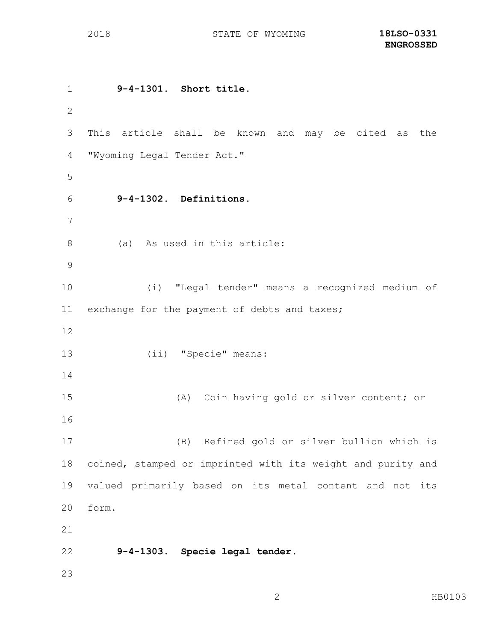**9-4-1301. Short title.** This article shall be known and may be cited as the "Wyoming Legal Tender Act." **9-4-1302. Definitions.** (a) As used in this article: (i) "Legal tender" means a recognized medium of exchange for the payment of debts and taxes; (ii) "Specie" means: (A) Coin having gold or silver content; or (B) Refined gold or silver bullion which is coined, stamped or imprinted with its weight and purity and valued primarily based on its metal content and not its form. **9-4-1303. Specie legal tender.**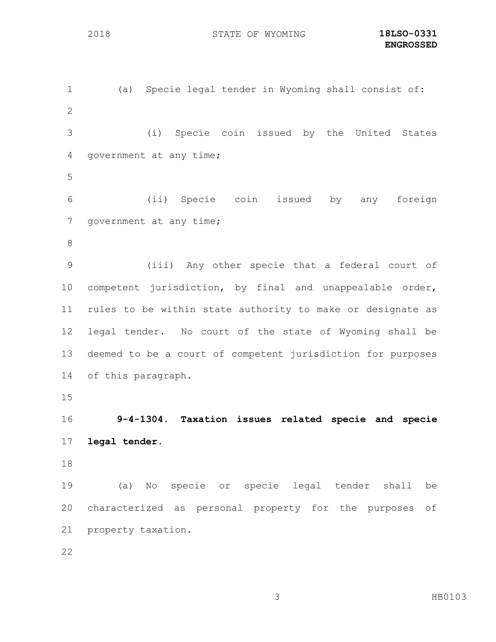(a) Specie legal tender in Wyoming shall consist of: (i) Specie coin issued by the United States government at any time; (ii) Specie coin issued by any foreign 7 government at any time; (iii) Any other specie that a federal court of competent jurisdiction, by final and unappealable order, rules to be within state authority to make or designate as legal tender. No court of the state of Wyoming shall be deemed to be a court of competent jurisdiction for purposes of this paragraph. **9-4-1304. Taxation issues related specie and specie legal tender.** (a) No specie or specie legal tender shall be characterized as personal property for the purposes of property taxation.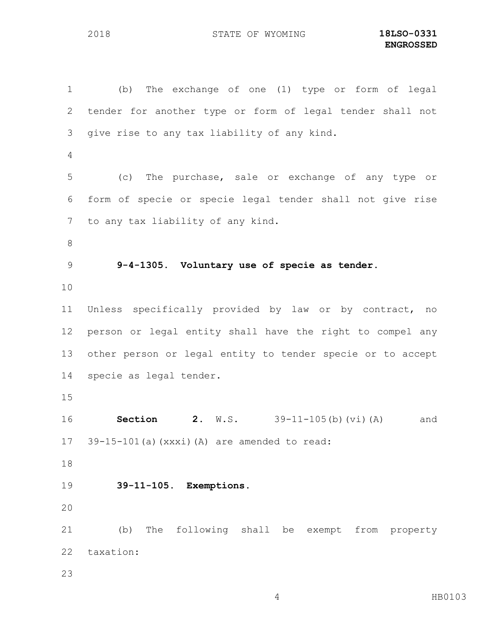(b) The exchange of one (1) type or form of legal tender for another type or form of legal tender shall not give rise to any tax liability of any kind. (c) The purchase, sale or exchange of any type or form of specie or specie legal tender shall not give rise to any tax liability of any kind. **9-4-1305. Voluntary use of specie as tender.** Unless specifically provided by law or by contract, no person or legal entity shall have the right to compel any other person or legal entity to tender specie or to accept specie as legal tender. **Section 2.** W.S. 39-11-105(b)(vi)(A) and 39-15-101(a)(xxxi)(A) are amended to read: **39-11-105. Exemptions.** (b) The following shall be exempt from property taxation: